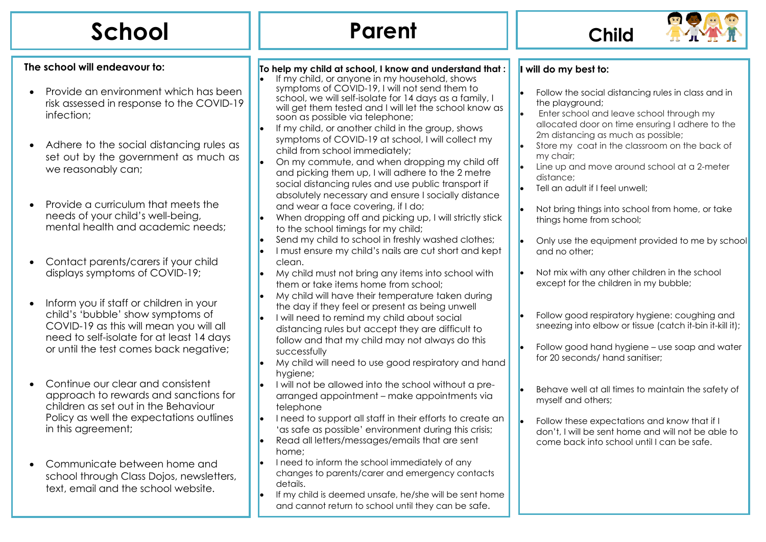| School                                                                                                                                                                                                                                                                                                                                                                                                                                                                                                                                                                                                                                                                                                                                                                                                                                                                     | <b>Parent</b>                                                                                                                                                                                                                                                                                                                                                                                                                                                                                                                                                                                                                                                                                                                                                                                                                                                                                                                                                                                                                                                                                                                                                                                                                                                                                                                                                                                                                                                                                                                                                                                                                                                                                   | <b>Child</b>                                                                                                                                                                                                                                                                                                                                                                                                                                                                                                                                                                                                                                                                                                                                                                                                                                                                                                                                                                                                                                                                   |
|----------------------------------------------------------------------------------------------------------------------------------------------------------------------------------------------------------------------------------------------------------------------------------------------------------------------------------------------------------------------------------------------------------------------------------------------------------------------------------------------------------------------------------------------------------------------------------------------------------------------------------------------------------------------------------------------------------------------------------------------------------------------------------------------------------------------------------------------------------------------------|-------------------------------------------------------------------------------------------------------------------------------------------------------------------------------------------------------------------------------------------------------------------------------------------------------------------------------------------------------------------------------------------------------------------------------------------------------------------------------------------------------------------------------------------------------------------------------------------------------------------------------------------------------------------------------------------------------------------------------------------------------------------------------------------------------------------------------------------------------------------------------------------------------------------------------------------------------------------------------------------------------------------------------------------------------------------------------------------------------------------------------------------------------------------------------------------------------------------------------------------------------------------------------------------------------------------------------------------------------------------------------------------------------------------------------------------------------------------------------------------------------------------------------------------------------------------------------------------------------------------------------------------------------------------------------------------------|--------------------------------------------------------------------------------------------------------------------------------------------------------------------------------------------------------------------------------------------------------------------------------------------------------------------------------------------------------------------------------------------------------------------------------------------------------------------------------------------------------------------------------------------------------------------------------------------------------------------------------------------------------------------------------------------------------------------------------------------------------------------------------------------------------------------------------------------------------------------------------------------------------------------------------------------------------------------------------------------------------------------------------------------------------------------------------|
| The school will endeavour to:<br>Provide an environment which has been<br>$\bullet$<br>risk assessed in response to the COVID-19<br>infection;<br>Adhere to the social distancing rules as<br>set out by the government as much as<br>we reasonably can;<br>Provide a curriculum that meets the<br>needs of your child's well-being,<br>mental health and academic needs;<br>Contact parents/carers if your child<br>displays symptoms of COVID-19;<br>Inform you if staff or children in your<br>child's 'bubble' show symptoms of<br>COVID-19 as this will mean you will all<br>need to self-isolate for at least 14 days<br>or until the test comes back negative;<br>Continue our clear and consistent<br>$\bullet$<br>approach to rewards and sanctions for<br>children as set out in the Behaviour<br>Policy as well the expectations outlines<br>in this agreement; | To help my child at school, I know and understand that:<br>If my child, or anyone in my household, shows<br>symptoms of COVID-19, I will not send them to<br>school, we will self-isolate for 14 days as a family, I<br>will get them tested and I will let the school know as<br>soon as possible via telephone;<br>If my child, or another child in the group, shows<br>symptoms of COVID-19 at school, I will collect my<br>child from school immediately;<br>On my commute, and when dropping my child off<br>and picking them up, I will adhere to the 2 metre<br>social distancing rules and use public transport if<br>absolutely necessary and ensure I socially distance<br>and wear a face covering, if I do;<br>When dropping off and picking up, I will strictly stick<br>to the school timings for my child;<br>Send my child to school in freshly washed clothes;<br>I must ensure my child's nails are cut short and kept<br>clean.<br>My child must not bring any items into school with<br>them or take items home from school;<br>My child will have their temperature taken during<br>the day if they feel or present as being unwell<br>I will need to remind my child about social<br>distancing rules but accept they are difficult to<br>follow and that my child may not always do this<br>successfully<br>My child will need to use good respiratory and hand<br>hygiene;<br>I will not be allowed into the school without a pre-<br>arranged appointment - make appointments via<br>telephone<br>I need to support all staff in their efforts to create an<br>'as safe as possible' environment during this crisis;<br>Read all letters/messages/emails that are sent | I will do my best to:<br>Follow the social distancing rules in class and in<br>the playground;<br>Enter school and leave school through my<br>allocated door on time ensuring I adhere to the<br>2m distancing as much as possible;<br>Store my coat in the classroom on the back of<br>my chair;<br>Line up and move around school at a 2-meter<br>distance;<br>Tell an adult if I feel unwell;<br>Not bring things into school from home, or take<br>things home from school;<br>Only use the equipment provided to me by school<br>and no other;<br>Not mix with any other children in the school<br>except for the children in my bubble;<br>Follow good respiratory hygiene: coughing and<br>sneezing into elbow or tissue (catch it-bin it-kill it);<br>Follow good hand hygiene - use soap and water<br>for 20 seconds/ hand sanitiser;<br>Behave well at all times to maintain the safety of<br>myself and others;<br>Follow these expectations and know that if I<br>don't, I will be sent home and will not be able to<br>come back into school until I can be safe. |
| Communicate between home and<br>school through Class Dojos, newsletters,<br>text, email and the school website.                                                                                                                                                                                                                                                                                                                                                                                                                                                                                                                                                                                                                                                                                                                                                            | home;<br>I need to inform the school immediately of any<br>changes to parents/carer and emergency contacts<br>details.<br>If my child is deemed unsafe, he/she will be sent home<br>and cannot return to school until they can be safe.                                                                                                                                                                                                                                                                                                                                                                                                                                                                                                                                                                                                                                                                                                                                                                                                                                                                                                                                                                                                                                                                                                                                                                                                                                                                                                                                                                                                                                                         |                                                                                                                                                                                                                                                                                                                                                                                                                                                                                                                                                                                                                                                                                                                                                                                                                                                                                                                                                                                                                                                                                |